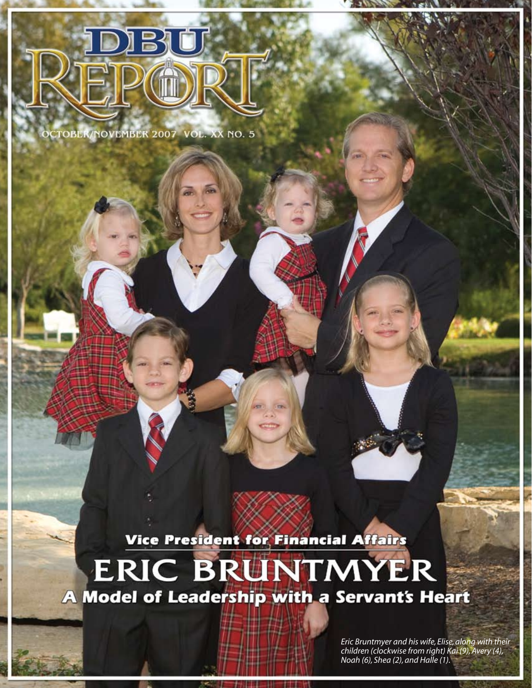

OCTOBER/NOVEMBER 2007 VOL. XX NO. 5

Vice President for Financial Affairs **ERIC BRUNTMYER** A Model of Leadership with a Servant's Heart

> *Eric Bruntmyer and his wife, Elise, along with their children (clockwise from right) Kai (9), Avery (4), Noah (6), Shea (2), and Halle (1).*